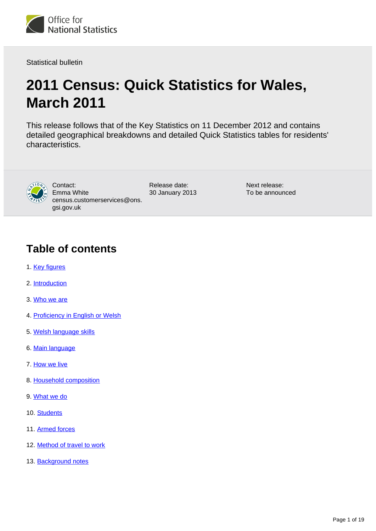

Statistical bulletin

# **2011 Census: Quick Statistics for Wales, March 2011**

This release follows that of the Key Statistics on 11 December 2012 and contains detailed geographical breakdowns and detailed Quick Statistics tables for residents' characteristics.



Contact: Emma White census.customerservices@ons. gsi.gov.uk

Release date: 30 January 2013 Next release: To be announced

### **Table of contents**

- 1. [Key figures](#page-1-0)
- 2. [Introduction](#page-1-1)
- 3. [Who we are](#page-3-0)
- 4. [Proficiency in English or Welsh](#page-3-1)
- 5. [Welsh language skills](#page-6-0)
- 6. [Main language](#page-8-0)
- 7. [How we live](#page-11-0)
- 8. [Household composition](#page-11-1)
- 9. [What we do](#page-13-0)
- 10. [Students](#page-13-1)
- 11. [Armed forces](#page-15-0)
- 12. [Method of travel to work](#page-15-1)
- 13. [Background notes](#page-17-0)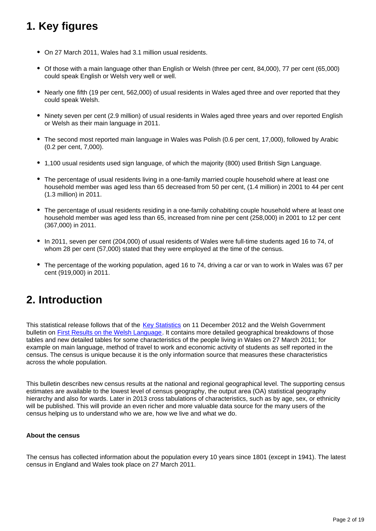## <span id="page-1-0"></span>**1. Key figures**

- On 27 March 2011, Wales had 3.1 million usual residents.
- Of those with a main language other than English or Welsh (three per cent, 84,000), 77 per cent (65,000) could speak English or Welsh very well or well.
- Nearly one fifth (19 per cent, 562,000) of usual residents in Wales aged three and over reported that they could speak Welsh.
- Ninety seven per cent (2.9 million) of usual residents in Wales aged three years and over reported English or Welsh as their main language in 2011.
- The second most reported main language in Wales was Polish (0.6 per cent, 17,000), followed by Arabic (0.2 per cent, 7,000).
- 1,100 usual residents used sign language, of which the majority (800) used British Sign Language.
- The percentage of usual residents living in a one-family married couple household where at least one household member was aged less than 65 decreased from 50 per cent, (1.4 million) in 2001 to 44 per cent (1.3 million) in 2011.
- The percentage of usual residents residing in a one-family cohabiting couple household where at least one household member was aged less than 65, increased from nine per cent (258,000) in 2001 to 12 per cent (367,000) in 2011.
- In 2011, seven per cent (204,000) of usual residents of Wales were full-time students aged 16 to 74, of whom 28 per cent (57,000) stated that they were employed at the time of the census.
- The percentage of the working population, aged 16 to 74, driving a car or van to work in Wales was 67 per cent (919,000) in 2011.

## <span id="page-1-1"></span>**2. Introduction**

This statistical release follows that of the [Key Statistics](http://www.ons.gov.uk/ons/rel/census/2011-census/key-statistics-for-unitary-authorities-in-wales/index.html) on 11 December 2012 and the Welsh Government bulletin on [First Results on the Welsh Language.](http://www.ons.gov.uk/ons/external-links/census-2011/welsh-government--2011-census--first-results-on-the-welsh-language.html) It contains more detailed geographical breakdowns of those tables and new detailed tables for some characteristics of the people living in Wales on 27 March 2011; for example on main language, method of travel to work and economic activity of students as self reported in the census. The census is unique because it is the only information source that measures these characteristics across the whole population.

This bulletin describes new census results at the national and regional geographical level. The supporting census estimates are available to the lowest level of census geography, the output area (OA) statistical geography hierarchy and also for wards. Later in 2013 cross tabulations of characteristics, such as by age, sex, or ethnicity will be published. This will provide an even richer and more valuable data source for the many users of the census helping us to understand who we are, how we live and what we do.

#### **About the census**

The census has collected information about the population every 10 years since 1801 (except in 1941). The latest census in England and Wales took place on 27 March 2011.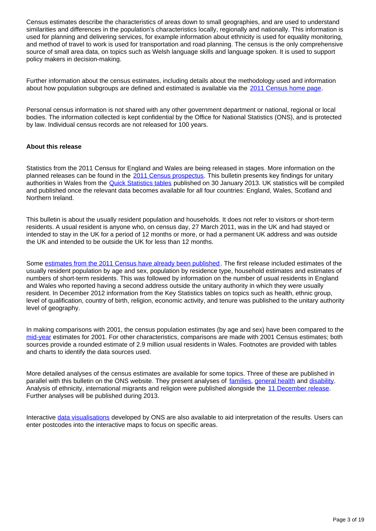Census estimates describe the characteristics of areas down to small geographies, and are used to understand similarities and differences in the population's characteristics locally, regionally and nationally. This information is used for planning and delivering services, for example information about ethnicity is used for equality monitoring, and method of travel to work is used for transportation and road planning. The census is the only comprehensive source of small area data, on topics such as Welsh language skills and language spoken. It is used to support policy makers in decision-making.

Further information about the census estimates, including details about the methodology used and information about how population subgroups are defined and estimated is available via the [2011 Census home page](http://www.ons.gov.uk/ons/guide-method/census/2011/index.html).

Personal census information is not shared with any other government department or national, regional or local bodies. The information collected is kept confidential by the Office for National Statistics (ONS), and is protected by law. Individual census records are not released for 100 years.

#### **About this release**

Statistics from the 2011 Census for England and Wales are being released in stages. More information on the planned releases can be found in the [2011 Census prospectus](http://www.ons.gov.uk/ons/guide-method/census/2011/census-data/2011-census-prospectus/index.html). This bulletin presents key findings for unitary authorities in Wales from the [Quick Statistics tables](http://ons.gov.uk/ons/publications/re-reference-tables.html?edition=tcm:77-296540) published on 30 January 2013. UK statistics will be compiled and published once the relevant data becomes available for all four countries: England, Wales, Scotland and Northern Ireland.

This bulletin is about the usually resident population and households. It does not refer to visitors or short-term residents. A usual resident is anyone who, on census day, 27 March 2011, was in the UK and had stayed or intended to stay in the UK for a period of 12 months or more, or had a permanent UK address and was outside the UK and intended to be outside the UK for less than 12 months.

Some [estimates from the 2011 Census have already been published](http://www.ons.gov.uk/ons/rel/census/2011-census/index.html). The first release included estimates of the usually resident population by age and sex, population by residence type, household estimates and estimates of numbers of short-term residents. This was followed by information on the number of usual residents in England and Wales who reported having a second address outside the unitary authority in which they were usually resident. In December 2012 information from the Key Statistics tables on topics such as health, ethnic group, level of qualification, country of birth, religion, economic activity, and tenure was published to the unitary authority level of geography.

In making comparisons with 2001, the census population estimates (by age and sex) have been compared to the [mid-year](http://www.ons.gov.uk/ons/rel/pop-estimate/population-estimates-for-uk--england-and-wales--scotland-and-northern-ireland/index.html) estimates for 2001. For other characteristics, comparisons are made with 2001 Census estimates; both sources provide a rounded estimate of 2.9 million usual residents in Wales. Footnotes are provided with tables and charts to identify the data sources used.

More detailed analyses of the census estimates are available for some topics. Three of these are published in parallel with this bulletin on the ONS website. They present analyses of [families,](http://www.ons.gov.uk/ons/rel/census/2011-census/key-statistics-and-quick-statistics-for-wards-and-output-areas-in-england-and-wales/rft-families-short-story.html) [general health](http://www.ons.gov.uk/ons/rel/census/2011-census/key-statistics-and-quick-statistics-for-wards-and-output-areas-in-england-and-wales/rpt-general-health-short-story.html) and [disability.](http://www.ons.gov.uk/ons/rel/census/2011-census/key-statistics-and-quick-statistics-for-wards-and-output-areas-in-england-and-wales/rpt-disability-short-story.html) Analysis of ethnicity, international migrants and religion were published alongside the [11 December release.](http://www.ons.gov.uk/ons/rel/census/2011-census/key-statistics-for-unitary-authorities-in-wales/index.html) Further analyses will be published during 2013.

Interactive [data visualisations](http://www.ons.gov.uk/ons/guide-method/census/2011/census-data/2011-census-interactive-content/index.html) developed by ONS are also available to aid interpretation of the results. Users can enter postcodes into the interactive maps to focus on specific areas.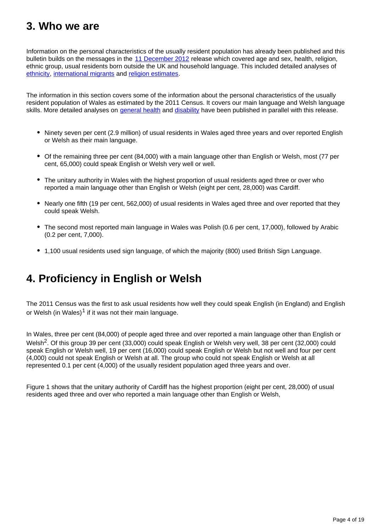## <span id="page-3-0"></span>**3. Who we are**

Information on the personal characteristics of the usually resident population has already been published and this bulletin builds on the messages in the [11 December 2012](http://www.ons.gov.uk/ons/rel/census/2011-census/key-statistics-for-unitary-authorities-in-wales/index.html) release which covered age and sex, health, religion, ethnic group, usual residents born outside the UK and household language. This included detailed analyses of [ethnicity,](http://www.ons.gov.uk/ons/rel/census/2011-census/key-statistics-for-local-authorities-in-england-and-wales/rpt-ethnicity.html) [international migrants](http://www.ons.gov.uk/ons/rel/census/2011-census/key-statistics-for-local-authorities-in-england-and-wales/rpt-international-migrants.html) and [religion estimates.](http://www.ons.gov.uk/ons/rel/census/2011-census/key-statistics-for-local-authorities-in-england-and-wales/rpt-religion.html)

The information in this section covers some of the information about the personal characteristics of the usually resident population of Wales as estimated by the 2011 Census. It covers our main language and Welsh language skills. More detailed analyses on [general health](http://www.ons.gov.uk/ons/rel/census/2011-census/key-statistics-and-quick-statistics-for-wards-and-output-areas-in-england-and-wales/rpt-general-health-short-story.html) and [disability](http://www.ons.gov.uk/ons/rel/census/2011-census/key-statistics-and-quick-statistics-for-wards-and-output-areas-in-england-and-wales/rpt-disability-short-story.html) have been published in parallel with this release.

- Ninety seven per cent (2.9 million) of usual residents in Wales aged three years and over reported English or Welsh as their main language.
- Of the remaining three per cent (84,000) with a main language other than English or Welsh, most (77 per cent, 65,000) could speak English or Welsh very well or well.
- The unitary authority in Wales with the highest proportion of usual residents aged three or over who reported a main language other than English or Welsh (eight per cent, 28,000) was Cardiff.
- Nearly one fifth (19 per cent, 562,000) of usual residents in Wales aged three and over reported that they could speak Welsh.
- The second most reported main language in Wales was Polish (0.6 per cent, 17,000), followed by Arabic (0.2 per cent, 7,000).
- 1,100 usual residents used sign language, of which the majority (800) used British Sign Language.

## <span id="page-3-1"></span>**4. Proficiency in English or Welsh**

The 2011 Census was the first to ask usual residents how well they could speak English (in England) and English or Welsh (in Wales)<sup>1</sup> if it was not their main language.

In Wales, three per cent (84,000) of people aged three and over reported a main language other than English or Welsh<sup>2</sup>. Of this group 39 per cent (33,000) could speak English or Welsh very well, 38 per cent (32,000) could speak English or Welsh well, 19 per cent (16,000) could speak English or Welsh but not well and four per cent (4,000) could not speak English or Welsh at all. The group who could not speak English or Welsh at all represented 0.1 per cent (4,000) of the usually resident population aged three years and over.

Figure 1 shows that the unitary authority of Cardiff has the highest proportion (eight per cent, 28,000) of usual residents aged three and over who reported a main language other than English or Welsh,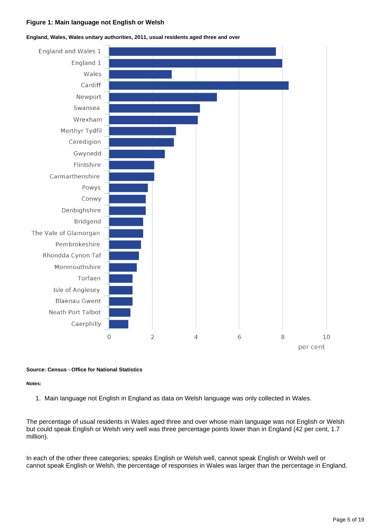#### **Figure 1: Main language not English or Welsh**



#### **England, Wales, Wales unitary authorities, 2011, usual residents aged three and over**

#### **Source: Census - Office for National Statistics**

#### **Notes:**

1. Main language not English in England as data on Welsh language was only collected in Wales.

The percentage of usual residents in Wales aged three and over whose main language was not English or Welsh but could speak English or Welsh very well was three percentage points lower than in England (42 per cent, 1.7 million).

In each of the other three categories; speaks English or Welsh well, cannot speak English or Welsh well or cannot speak English or Welsh, the percentage of responses in Wales was larger than the percentage in England.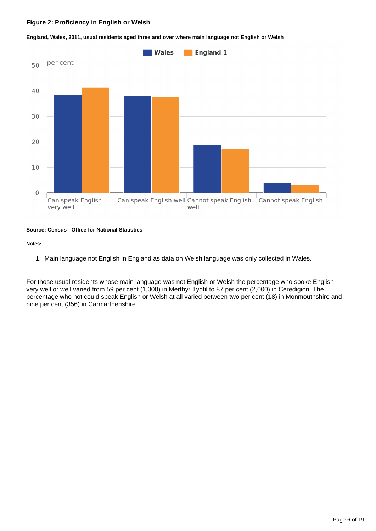#### **Figure 2: Proficiency in English or Welsh**



**England, Wales, 2011, usual residents aged three and over where main language not English or Welsh**

#### **Source: Census - Office for National Statistics**

#### **Notes:**

1. Main language not English in England as data on Welsh language was only collected in Wales.

For those usual residents whose main language was not English or Welsh the percentage who spoke English very well or well varied from 59 per cent (1,000) in Merthyr Tydfil to 87 per cent (2,000) in Ceredigion. The percentage who not could speak English or Welsh at all varied between two per cent (18) in Monmouthshire and nine per cent (356) in Carmarthenshire.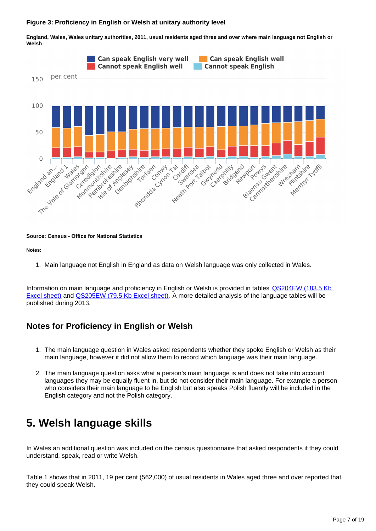#### **Figure 3: Proficiency in English or Welsh at unitary authority level**

**England, Wales, Wales unitary authorities, 2011, usual residents aged three and over where main language not English or Welsh**



#### **Source: Census - Office for National Statistics**

#### **Notes:**

1. Main language not English in England as data on Welsh language was only collected in Wales.

Information on main language and proficiency in English or Welsh is provided in tables [QS204EW \(183.5 Kb](http://www.ons.gov.uk/ons/rel/census/2011-census/key-statistics-and-quick-statistics-for-electoral-divisions-and-output-areas-in-wales/rft-qs204ew.xls)  [Excel sheet\)](http://www.ons.gov.uk/ons/rel/census/2011-census/key-statistics-and-quick-statistics-for-electoral-divisions-and-output-areas-in-wales/rft-qs204ew.xls) and [QS205EW \(79.5 Kb Excel sheet\).](http://www.ons.gov.uk/ons/rel/census/2011-census/key-statistics-and-quick-statistics-for-electoral-divisions-and-output-areas-in-wales/rft-qs205ew.xls) A more detailed analysis of the language tables will be published during 2013.

### **Notes for Proficiency in English or Welsh**

- 1. The main language question in Wales asked respondents whether they spoke English or Welsh as their main language, however it did not allow them to record which language was their main language.
- 2. The main language question asks what a person's main language is and does not take into account languages they may be equally fluent in, but do not consider their main language. For example a person who considers their main language to be English but also speaks Polish fluently will be included in the English category and not the Polish category.

## <span id="page-6-0"></span>**5. Welsh language skills**

In Wales an additional question was included on the census questionnaire that asked respondents if they could understand, speak, read or write Welsh.

Table 1 shows that in 2011, 19 per cent (562,000) of usual residents in Wales aged three and over reported that they could speak Welsh.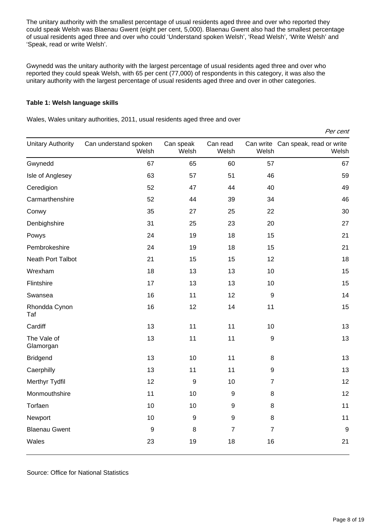The unitary authority with the smallest percentage of usual residents aged three and over who reported they could speak Welsh was Blaenau Gwent (eight per cent, 5,000). Blaenau Gwent also had the smallest percentage of usual residents aged three and over who could 'Understand spoken Welsh', 'Read Welsh', 'Write Welsh' and 'Speak, read or write Welsh'.

Gwynedd was the unitary authority with the largest percentage of usual residents aged three and over who reported they could speak Welsh, with 65 per cent (77,000) of respondents in this category, it was also the unitary authority with the largest percentage of usual residents aged three and over in other categories.

#### **Table 1: Welsh language skills**

Wales, Wales unitary authorities, 2011, usual residents aged three and over

| Per cent                 |                                |                    |                   |                  |                                             |  |  |  |  |
|--------------------------|--------------------------------|--------------------|-------------------|------------------|---------------------------------------------|--|--|--|--|
| <b>Unitary Authority</b> | Can understand spoken<br>Welsh | Can speak<br>Welsh | Can read<br>Welsh | Welsh            | Can write Can speak, read or write<br>Welsh |  |  |  |  |
| Gwynedd                  | 67                             | 65                 | 60                | 57               | 67                                          |  |  |  |  |
| Isle of Anglesey         | 63                             | 57                 | 51                | 46               | 59                                          |  |  |  |  |
| Ceredigion               | 52                             | 47                 | 44                | 40               | 49                                          |  |  |  |  |
| Carmarthenshire          | 52                             | 44                 | 39                | 34               | 46                                          |  |  |  |  |
| Conwy                    | 35                             | 27                 | 25                | 22               | 30                                          |  |  |  |  |
| Denbighshire             | 31                             | 25                 | 23                | 20               | 27                                          |  |  |  |  |
| Powys                    | 24                             | 19                 | 18                | 15               | 21                                          |  |  |  |  |
| Pembrokeshire            | 24                             | 19                 | 18                | 15               | 21                                          |  |  |  |  |
| <b>Neath Port Talbot</b> | 21                             | 15                 | 15                | 12               | 18                                          |  |  |  |  |
| Wrexham                  | 18                             | 13                 | 13                | 10               | 15                                          |  |  |  |  |
| Flintshire               | 17                             | 13                 | 13                | 10               | 15                                          |  |  |  |  |
| Swansea                  | 16                             | 11                 | 12                | $\boldsymbol{9}$ | 14                                          |  |  |  |  |
| Rhondda Cynon<br>Taf     | 16                             | 12                 | 14                | 11               | 15                                          |  |  |  |  |
| Cardiff                  | 13                             | 11                 | 11                | 10               | 13                                          |  |  |  |  |
| The Vale of<br>Glamorgan | 13                             | 11                 | 11                | 9                | 13                                          |  |  |  |  |
| <b>Bridgend</b>          | 13                             | 10                 | 11                | 8                | 13                                          |  |  |  |  |
| Caerphilly               | 13                             | 11                 | 11                | $\boldsymbol{9}$ | 13                                          |  |  |  |  |
| Merthyr Tydfil           | 12                             | 9                  | 10                | $\overline{7}$   | 12                                          |  |  |  |  |
| Monmouthshire            | 11                             | 10                 | 9                 | 8                | 12                                          |  |  |  |  |
| Torfaen                  | 10                             | 10                 | $\boldsymbol{9}$  | 8                | 11                                          |  |  |  |  |
| Newport                  | 10                             | 9                  | $\boldsymbol{9}$  | 8                | 11                                          |  |  |  |  |
| <b>Blaenau Gwent</b>     | $\boldsymbol{9}$               | 8                  | $\overline{7}$    | $\overline{7}$   | $9\,$                                       |  |  |  |  |
| Wales                    | 23                             | 19                 | 18                | 16               | 21                                          |  |  |  |  |

Source: Office for National Statistics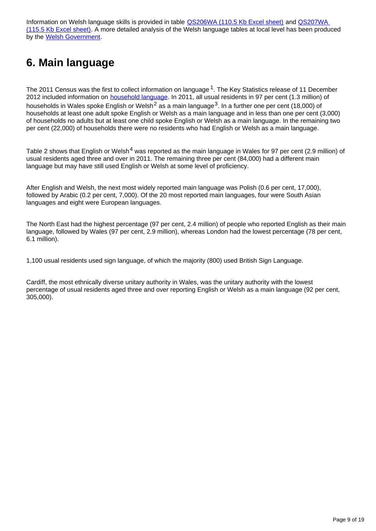Information on Welsh language skills is provided in table **QS206WA** (110.5 Kb Excel sheet) and QS207WA [\(115.5 Kb Excel sheet\)](http://www.ons.gov.uk/ons/rel/census/2011-census/key-statistics-for-local-authorities-in-england-and-wales/rft-table-qs207wa.xls). A more detailed analysis of the Welsh language tables at local level has been produced by the [Welsh Government](http://www.ons.gov.uk/ons/external-links/census-2011/welsh-government--2011census--welsh-language-skills.html).

## <span id="page-8-0"></span>**6. Main language**

The 2011 Census was the first to collect information on language <sup>1</sup>. The Key Statistics release of 11 December 2012 included information on **household language**. In 2011, all usual residents in 97 per cent (1.3 million) of households in Wales spoke English or Welsh<sup>2</sup> as a main language<sup>3</sup>. In a further one per cent (18,000) of households at least one adult spoke English or Welsh as a main language and in less than one per cent (3,000) of households no adults but at least one child spoke English or Welsh as a main language. In the remaining two per cent (22,000) of households there were no residents who had English or Welsh as a main language.

Table 2 shows that English or Welsh<sup>4</sup> was reported as the main language in Wales for 97 per cent (2.9 million) of usual residents aged three and over in 2011. The remaining three per cent (84,000) had a different main language but may have still used English or Welsh at some level of proficiency.

After English and Welsh, the next most widely reported main language was Polish (0.6 per cent, 17,000), followed by Arabic (0.2 per cent, 7,000). Of the 20 most reported main languages, four were South Asian languages and eight were European languages.

The North East had the highest percentage (97 per cent, 2.4 million) of people who reported English as their main language, followed by Wales (97 per cent, 2.9 million), whereas London had the lowest percentage (78 per cent, 6.1 million).

1,100 usual residents used sign language, of which the majority (800) used British Sign Language.

Cardiff, the most ethnically diverse unitary authority in Wales, was the unitary authority with the lowest percentage of usual residents aged three and over reporting English or Welsh as a main language (92 per cent, 305,000).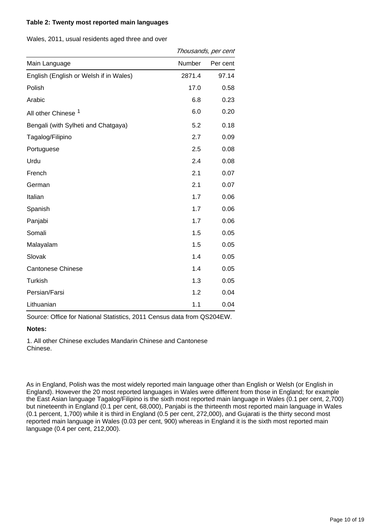#### **Table 2: Twenty most reported main languages**

Wales, 2011, usual residents aged three and over

|                                        | Thousands, per cent |          |  |
|----------------------------------------|---------------------|----------|--|
| Main Language                          | Number              | Per cent |  |
| English (English or Welsh if in Wales) | 2871.4              | 97.14    |  |
| Polish                                 | 17.0                | 0.58     |  |
| Arabic                                 | 6.8                 | 0.23     |  |
| All other Chinese <sup>1</sup>         | 6.0                 | 0.20     |  |
| Bengali (with Sylheti and Chatgaya)    | 5.2                 | 0.18     |  |
| Tagalog/Filipino                       | 2.7                 | 0.09     |  |
| Portuguese                             | 2.5                 | 0.08     |  |
| Urdu                                   | 2.4                 | 0.08     |  |
| French                                 | 2.1                 | 0.07     |  |
| German                                 | 2.1                 | 0.07     |  |
| Italian                                | 1.7                 | 0.06     |  |
| Spanish                                | 1.7                 | 0.06     |  |
| Panjabi                                | 1.7                 | 0.06     |  |
| Somali                                 | 1.5                 | 0.05     |  |
| Malayalam                              | 1.5                 | 0.05     |  |
| Slovak                                 | 1.4                 | 0.05     |  |
| <b>Cantonese Chinese</b>               | 1.4                 | 0.05     |  |
| Turkish                                | 1.3                 | 0.05     |  |
| Persian/Farsi                          | 1.2                 | 0.04     |  |
| Lithuanian                             | 1.1                 | 0.04     |  |

Source: Office for National Statistics, 2011 Census data from QS204EW.

#### **Notes:**

1. All other Chinese excludes Mandarin Chinese and Cantonese Chinese.

As in England, Polish was the most widely reported main language other than English or Welsh (or English in England). However the 20 most reported languages in Wales were different from those in England; for example the East Asian language Tagalog/Filipino is the sixth most reported main language in Wales (0.1 per cent, 2,700) but nineteenth in England (0.1 per cent, 68,000), Panjabi is the thirteenth most reported main language in Wales (0.1 percent, 1,700) while it is third in England (0.5 per cent, 272,000), and Gujarati is the thirty second most reported main language in Wales (0.03 per cent, 900) whereas in England it is the sixth most reported main language (0.4 per cent, 212,000).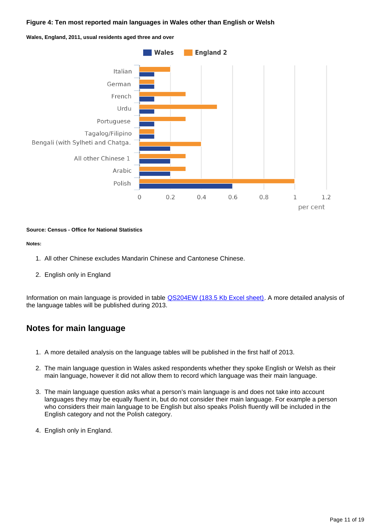#### **Figure 4: Ten most reported main languages in Wales other than English or Welsh**





#### **Source: Census - Office for National Statistics**

#### **Notes:**

- 1. All other Chinese excludes Mandarin Chinese and Cantonese Chinese.
- 2. English only in England

Information on main language is provided in table [QS204EW \(183.5 Kb Excel sheet\).](http://www.ons.gov.uk/ons/rel/census/2011-census/key-statistics-and-quick-statistics-for-electoral-divisions-and-output-areas-in-wales/rft-qs204ew.xls) A more detailed analysis of the language tables will be published during 2013.

### **Notes for main language**

- 1. A more detailed analysis on the language tables will be published in the first half of 2013.
- 2. The main language question in Wales asked respondents whether they spoke English or Welsh as their main language, however it did not allow them to record which language was their main language.
- 3. The main language question asks what a person's main language is and does not take into account languages they may be equally fluent in, but do not consider their main language. For example a person who considers their main language to be English but also speaks Polish fluently will be included in the English category and not the Polish category.
- 4. English only in England.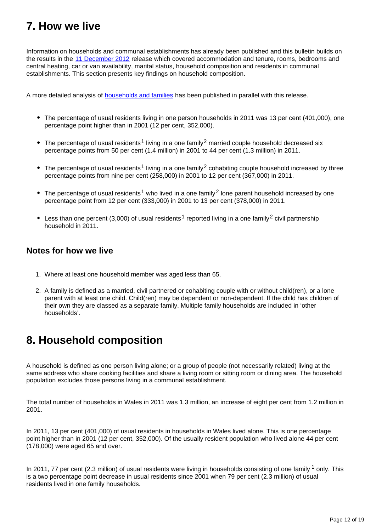## <span id="page-11-0"></span>**7. How we live**

Information on households and communal establishments has already been published and this bulletin builds on the results in the [11 December 2012](http://www.ons.gov.uk/ons/rel/census/2011-census/key-statistics-for-unitary-authorities-in-wales/index.html) release which covered accommodation and tenure, rooms, bedrooms and central heating, car or van availability, marital status, household composition and residents in communal establishments. This section presents key findings on household composition.

A more detailed analysis of [households and families](http://www.ons.gov.uk/ons/rel/census/2011-census/key-statistics-and-quick-statistics-for-wards-and-output-areas-in-england-and-wales/rft-families-short-story.html) has been published in parallel with this release.

- The percentage of usual residents living in one person households in 2011 was 13 per cent (401,000), one percentage point higher than in 2001 (12 per cent, 352,000).
- The percentage of usual residents<sup>1</sup> living in a one family<sup>2</sup> married couple household decreased six percentage points from 50 per cent (1.4 million) in 2001 to 44 per cent (1.3 million) in 2011.
- The percentage of usual residents<sup>1</sup> living in a one family<sup>2</sup> cohabiting couple household increased by three percentage points from nine per cent (258,000) in 2001 to 12 per cent (367,000) in 2011.
- The percentage of usual residents<sup>1</sup> who lived in a one family  $2$  lone parent household increased by one percentage point from 12 per cent (333,000) in 2001 to 13 per cent (378,000) in 2011.
- **•** Less than one percent (3,000) of usual residents<sup>1</sup> reported living in a one family <sup>2</sup> civil partnership household in 2011.

### **Notes for how we live**

- 1. Where at least one household member was aged less than 65.
- 2. A family is defined as a married, civil partnered or cohabiting couple with or without child(ren), or a lone parent with at least one child. Child(ren) may be dependent or non-dependent. If the child has children of their own they are classed as a separate family. Multiple family households are included in 'other households'.

## <span id="page-11-1"></span>**8. Household composition**

A household is defined as one person living alone; or a group of people (not necessarily related) living at the same address who share cooking facilities and share a living room or sitting room or dining area. The household population excludes those persons living in a communal establishment.

The total number of households in Wales in 2011 was 1.3 million, an increase of eight per cent from 1.2 million in 2001.

In 2011, 13 per cent (401,000) of usual residents in households in Wales lived alone. This is one percentage point higher than in 2001 (12 per cent, 352,000). Of the usually resident population who lived alone 44 per cent (178,000) were aged 65 and over.

In 2011, 77 per cent (2.3 million) of usual residents were living in households consisting of one family  $1$  only. This is a two percentage point decrease in usual residents since 2001 when 79 per cent (2.3 million) of usual residents lived in one family households.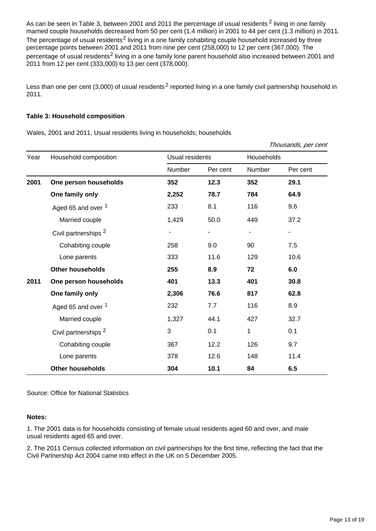As can be seen in Table 3, between 2001 and 2011 the percentage of usual residents  $2$  living in one family married couple households decreased from 50 per cent (1.4 million) in 2001 to 44 per cent (1.3 million) in 2011. The percentage of usual residents<sup>2</sup> living in a one family cohabiting couple household increased by three percentage points between 2001 and 2011 from nine per cent (258,000) to 12 per cent (367,000). The percentage of usual residents<sup>2</sup> living in a one family lone parent household also increased between 2001 and 2011 from 12 per cent (333,000) to 13 per cent (378,000).

Less than one per cent (3,000) of usual residents<sup>2</sup> reported living in a one family civil partnership household in 2011.

#### **Table 3: Household composition**

Wales, 2001 and 2011, Usual residents living in households; households

|      |                                 |                 |          |            | Thousands, per cent |
|------|---------------------------------|-----------------|----------|------------|---------------------|
| Year | Household composition           | Usual residents |          | Households |                     |
|      |                                 | Number          | Per cent | Number     | Per cent            |
| 2001 | One person households           | 352             | 12.3     | 352        | 29.1                |
|      | One family only                 | 2,252           | 78.7     | 784        | 64.9                |
|      | Aged 65 and over <sup>1</sup>   | 233             | 8.1      | 116        | 9.6                 |
|      | Married couple                  | 1,429           | 50.0     | 449        | 37.2                |
|      | Civil partnerships <sup>2</sup> | -               | ۰        |            | ۰                   |
|      | Cohabiting couple               | 258             | 9.0      | 90         | 7.5                 |
|      | Lone parents                    | 333             | 11.6     | 129        | 10.6                |
|      | <b>Other households</b>         | 255             | 8.9      | 72         | 6.0                 |
| 2011 | One person households           | 401             | 13.3     | 401        | 30.8                |
|      | One family only                 | 2,306           | 76.6     | 817        | 62.8                |
|      | Aged 65 and over <sup>1</sup>   | 232             | 7.7      | 116        | 8.9                 |
|      | Married couple                  | 1,327           | 44.1     | 427        | 32.7                |
|      | Civil partnerships <sup>2</sup> | 3               | 0.1      | 1          | 0.1                 |
|      | Cohabiting couple               | 367             | 12.2     | 126        | 9.7                 |
|      | Lone parents                    | 378             | 12.6     | 148        | 11.4                |
|      | <b>Other households</b>         | 304             | 10.1     | 84         | 6.5                 |

Source: Office for National Statistics

#### **Notes:**

1. The 2001 data is for households consisting of female usual residents aged 60 and over, and male usual residents aged 65 and over.

2. The 2011 Census collected information on civil partnerships for the first time, reflecting the fact that the Civil Partnership Act 2004 came into effect in the UK on 5 December 2005.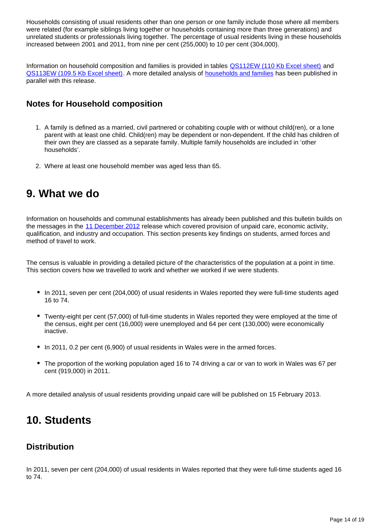Households consisting of usual residents other than one person or one family include those where all members were related (for example siblings living together or households containing more than three generations) and unrelated students or professionals living together. The percentage of usual residents living in these households increased between 2001 and 2011, from nine per cent (255,000) to 10 per cent (304,000).

Information on household composition and families is provided in tables [QS112EW \(110 Kb Excel sheet\)](http://www.ons.gov.uk/ons/rel/census/2011-census/key-statistics-and-quick-statistics-for-electoral-divisions-and-output-areas-in-wales/rft-qs112ew.xls) and [QS113EW \(109.5 Kb Excel sheet\).](http://www.ons.gov.uk/ons/rel/census/2011-census/key-statistics-and-quick-statistics-for-electoral-divisions-and-output-areas-in-wales/rft-qs113ew.xls) A more detailed analysis of [households and families](http://www.ons.gov.uk/ons/rel/census/2011-census/key-statistics-and-quick-statistics-for-wards-and-output-areas-in-england-and-wales/rft-families-short-story.html) has been published in parallel with this release.

### **Notes for Household composition**

- 1. A family is defined as a married, civil partnered or cohabiting couple with or without child(ren), or a lone parent with at least one child. Child(ren) may be dependent or non-dependent. If the child has children of their own they are classed as a separate family. Multiple family households are included in 'other households'.
- 2. Where at least one household member was aged less than 65.

### <span id="page-13-0"></span>**9. What we do**

Information on households and communal establishments has already been published and this bulletin builds on the messages in the [11 December 2012](http://www.ons.gov.uk/ons/rel/census/2011-census/key-statistics-for-unitary-authorities-in-wales/index.html) release which covered provision of unpaid care, economic activity, qualification, and industry and occupation. This section presents key findings on students, armed forces and method of travel to work.

The census is valuable in providing a detailed picture of the characteristics of the population at a point in time. This section covers how we travelled to work and whether we worked if we were students.

- In 2011, seven per cent (204,000) of usual residents in Wales reported they were full-time students aged 16 to 74.
- Twenty-eight per cent (57,000) of full-time students in Wales reported they were employed at the time of the census, eight per cent (16,000) were unemployed and 64 per cent (130,000) were economically inactive.
- In 2011, 0.2 per cent (6,900) of usual residents in Wales were in the armed forces.
- The proportion of the working population aged 16 to 74 driving a car or van to work in Wales was 67 per cent (919,000) in 2011.

A more detailed analysis of usual residents providing unpaid care will be published on 15 February 2013.

## <span id="page-13-1"></span>**10. Students**

### **Distribution**

In 2011, seven per cent (204,000) of usual residents in Wales reported that they were full-time students aged 16 to 74.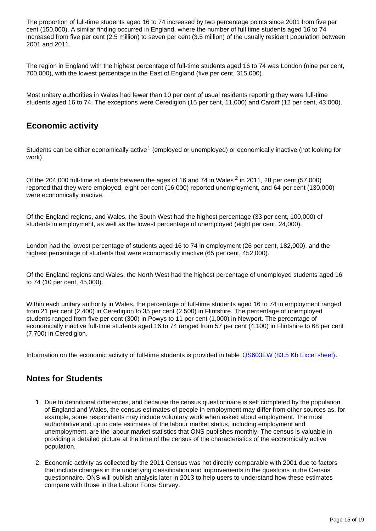The proportion of full-time students aged 16 to 74 increased by two percentage points since 2001 from five per cent (150,000). A similar finding occurred in England, where the number of full time students aged 16 to 74 increased from five per cent (2.5 million) to seven per cent (3.5 million) of the usually resident population between 2001 and 2011.

The region in England with the highest percentage of full-time students aged 16 to 74 was London (nine per cent, 700,000), with the lowest percentage in the East of England (five per cent, 315,000).

Most unitary authorities in Wales had fewer than 10 per cent of usual residents reporting they were full-time students aged 16 to 74. The exceptions were Ceredigion (15 per cent, 11,000) and Cardiff (12 per cent, 43,000).

### **Economic activity**

Students can be either economically active<sup>1</sup> (employed or unemployed) or economically inactive (not looking for work).

Of the 204,000 full-time students between the ages of 16 and 74 in Wales  $^2$  in 2011, 28 per cent (57,000) reported that they were employed, eight per cent (16,000) reported unemployment, and 64 per cent (130,000) were economically inactive.

Of the England regions, and Wales, the South West had the highest percentage (33 per cent, 100,000) of students in employment, as well as the lowest percentage of unemployed (eight per cent, 24,000).

London had the lowest percentage of students aged 16 to 74 in employment (26 per cent, 182,000), and the highest percentage of students that were economically inactive (65 per cent, 452,000).

Of the England regions and Wales, the North West had the highest percentage of unemployed students aged 16 to 74 (10 per cent, 45,000).

Within each unitary authority in Wales, the percentage of full-time students aged 16 to 74 in employment ranged from 21 per cent (2,400) in Ceredigion to 35 per cent (2,500) in Flintshire. The percentage of unemployed students ranged from five per cent (300) in Powys to 11 per cent (1,000) in Newport. The percentage of economically inactive full-time students aged 16 to 74 ranged from 57 per cent (4,100) in Flintshire to 68 per cent (7,700) in Ceredigion.

Information on the economic activity of full-time students is provided in table [QS603EW \(83.5 Kb Excel sheet\).](http://www.ons.gov.uk/ons/rel/census/2011-census/key-statistics-and-quick-statistics-for-electoral-divisions-and-output-areas-in-wales/rft---qs603ew.xls)

### **Notes for Students**

- 1. Due to definitional differences, and because the census questionnaire is self completed by the population of England and Wales, the census estimates of people in employment may differ from other sources as, for example, some respondents may include voluntary work when asked about employment. The most authoritative and up to date estimates of the labour market status, including employment and unemployment, are the labour market statistics that ONS publishes monthly. The census is valuable in providing a detailed picture at the time of the census of the characteristics of the economically active population.
- 2. Economic activity as collected by the 2011 Census was not directly comparable with 2001 due to factors that include changes in the underlying classification and improvements in the questions in the Census questionnaire. ONS will publish analysis later in 2013 to help users to understand how these estimates compare with those in the Labour Force Survey.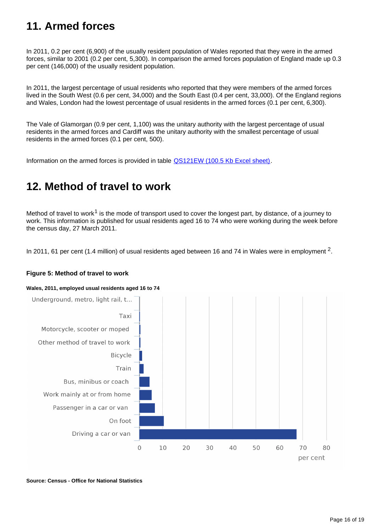## <span id="page-15-0"></span>**11. Armed forces**

In 2011, 0.2 per cent (6,900) of the usually resident population of Wales reported that they were in the armed forces, similar to 2001 (0.2 per cent, 5,300). In comparison the armed forces population of England made up 0.3 per cent (146,000) of the usually resident population.

In 2011, the largest percentage of usual residents who reported that they were members of the armed forces lived in the South West (0.6 per cent, 34,000) and the South East (0.4 per cent, 33,000). Of the England regions and Wales, London had the lowest percentage of usual residents in the armed forces (0.1 per cent, 6,300).

The Vale of Glamorgan (0.9 per cent, 1,100) was the unitary authority with the largest percentage of usual residents in the armed forces and Cardiff was the unitary authority with the smallest percentage of usual residents in the armed forces (0.1 per cent, 500).

Information on the armed forces is provided in table [QS121EW \(100.5 Kb Excel sheet\)](http://www.ons.gov.uk/ons/rel/census/2011-census/key-statistics-and-quick-statistics-for-electoral-divisions-and-output-areas-in-wales/rft-qs121ew.xls).

## <span id="page-15-1"></span>**12. Method of travel to work**

Method of travel to work<sup>1</sup> is the mode of transport used to cover the longest part, by distance, of a journey to work. This information is published for usual residents aged 16 to 74 who were working during the week before the census day, 27 March 2011.

In 2011, 61 per cent (1.4 million) of usual residents aged between 16 and 74 in Wales were in employment  $^2$ .

#### **Figure 5: Method of travel to work**

#### **Wales, 2011, employed usual residents aged 16 to 74**



**Source: Census - Office for National Statistics**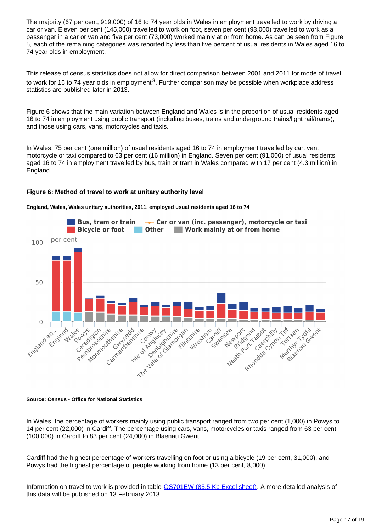The majority (67 per cent, 919,000) of 16 to 74 year olds in Wales in employment travelled to work by driving a car or van. Eleven per cent (145,000) travelled to work on foot, seven per cent (93,000) travelled to work as a passenger in a car or van and five per cent (73,000) worked mainly at or from home. As can be seen from Figure 5, each of the remaining categories was reported by less than five percent of usual residents in Wales aged 16 to 74 year olds in employment.

This release of census statistics does not allow for direct comparison between 2001 and 2011 for mode of travel to work for 16 to 74 year olds in employment<sup>3</sup>. Further comparison may be possible when workplace address statistics are published later in 2013.

Figure 6 shows that the main variation between England and Wales is in the proportion of usual residents aged 16 to 74 in employment using public transport (including buses, trains and underground trains/light rail/trams), and those using cars, vans, motorcycles and taxis.

In Wales, 75 per cent (one million) of usual residents aged 16 to 74 in employment travelled by car, van, motorcycle or taxi compared to 63 per cent (16 million) in England. Seven per cent (91,000) of usual residents aged 16 to 74 in employment travelled by bus, train or tram in Wales compared with 17 per cent (4.3 million) in England.

#### **Figure 6: Method of travel to work at unitary authority level**





#### **Source: Census - Office for National Statistics**

In Wales, the percentage of workers mainly using public transport ranged from two per cent (1,000) in Powys to 14 per cent (22,000) in Cardiff. The percentage using cars, vans, motorcycles or taxis ranged from 63 per cent (100,000) in Cardiff to 83 per cent (24,000) in Blaenau Gwent.

Cardiff had the highest percentage of workers travelling on foot or using a bicycle (19 per cent, 31,000), and Powys had the highest percentage of people working from home (13 per cent, 8,000).

Information on travel to work is provided in table [QS701EW \(85.5 Kb Excel sheet\)](http://www.ons.gov.uk/ons/rel/census/2011-census/key-statistics-and-quick-statistics-for-electoral-divisions-and-output-areas-in-wales/rft-qs701ew.xlsb). A more detailed analysis of this data will be published on 13 February 2013.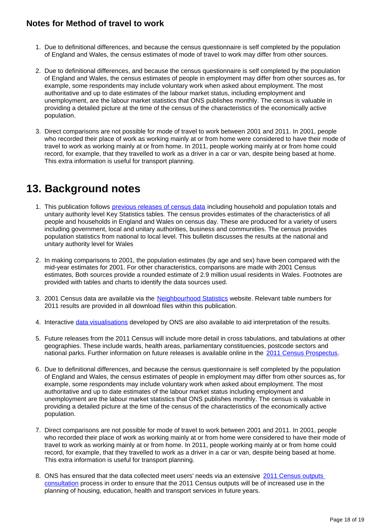### **Notes for Method of travel to work**

- 1. Due to definitional differences, and because the census questionnaire is self completed by the population of England and Wales, the census estimates of mode of travel to work may differ from other sources.
- 2. Due to definitional differences, and because the census questionnaire is self completed by the population of England and Wales, the census estimates of people in employment may differ from other sources as, for example, some respondents may include voluntary work when asked about employment. The most authoritative and up to date estimates of the labour market status, including employment and unemployment, are the labour market statistics that ONS publishes monthly. The census is valuable in providing a detailed picture at the time of the census of the characteristics of the economically active population.
- 3. Direct comparisons are not possible for mode of travel to work between 2001 and 2011. In 2001, people who recorded their place of work as working mainly at or from home were considered to have their mode of travel to work as working mainly at or from home. In 2011, people working mainly at or from home could record, for example, that they travelled to work as a driver in a car or van, despite being based at home. This extra information is useful for transport planning.

## <span id="page-17-0"></span>**13. Background notes**

- 1. This publication follows [previous releases of census data](http://www.ons.gov.uk/ons/rel/census/2011-census/index.html) including household and population totals and unitary authority level Key Statistics tables. The census provides estimates of the characteristics of all people and households in England and Wales on census day. These are produced for a variety of users including government, local and unitary authorities, business and communities. The census provides population statistics from national to local level. This bulletin discusses the results at the national and unitary authority level for Wales
- 2. In making comparisons to 2001, the population estimates (by age and sex) have been compared with the mid-year estimates for 2001. For other characteristics, comparisons are made with 2001 Census estimates, Both sources provide a rounded estimate of 2.9 million usual residents in Wales. Footnotes are provided with tables and charts to identify the data sources used.
- 3. 2001 Census data are available via the [Neighbourhood Statistics](http://www.ons.gov.uk/ons/external-links/other-government-departments/neighbourhood-statistics.html) website. Relevant table numbers for 2011 results are provided in all download files within this publication.
- 4. Interactive [data visualisations](http://www.ons.gov.uk/ons/guide-method/census/2011/census-data/2011-census-interactive-content/index.html) developed by ONS are also available to aid interpretation of the results.
- 5. Future releases from the 2011 Census will include more detail in cross tabulations, and tabulations at other geographies. These include wards, health areas, parliamentary constituencies, postcode sectors and national parks. Further information on future releases is available online in the [2011 Census Prospectus](http://www.ons.gov.uk/ons/guide-method/census/2011/census-data/2011-census-prospectus/index.html).
- 6. Due to definitional differences, and because the census questionnaire is self completed by the population of England and Wales, the census estimates of people in employment may differ from other sources as, for example, some respondents may include voluntary work when asked about employment. The most authoritative and up to date estimates of the labour market status including employment and unemployment are the labour market statistics that ONS publishes monthly. The census is valuable in providing a detailed picture at the time of the census of the characteristics of the economically active population.
- 7. Direct comparisons are not possible for mode of travel to work between 2001 and 2011. In 2001, people who recorded their place of work as working mainly at or from home were considered to have their mode of travel to work as working mainly at or from home. In 2011, people working mainly at or from home could record, for example, that they travelled to work as a driver in a car or van, despite being based at home. This extra information is useful for transport planning.
- 8. ONS has ensured that the data collected meet users' needs via an extensive 2011 Census outputs [consultation](http://www.ons.gov.uk/ons/guide-method/census/2011/consultations--users-and-local-partners/index.html) process in order to ensure that the 2011 Census outputs will be of increased use in the planning of housing, education, health and transport services in future years.